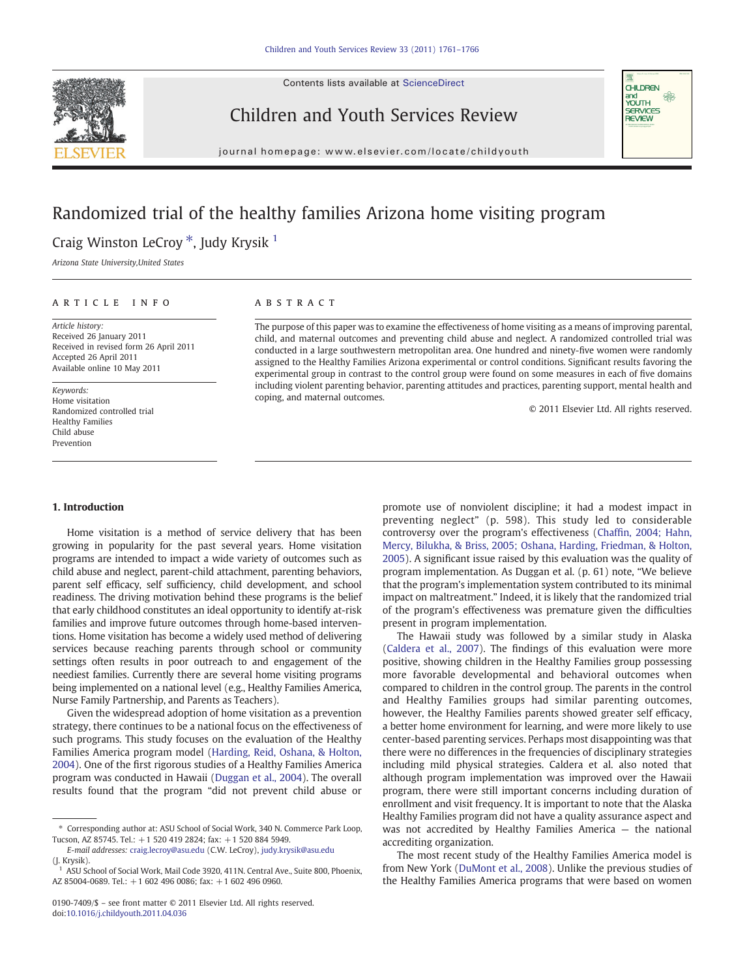Contents lists available at [ScienceDirect](http://www.sciencedirect.com/science/journal/01907409)

<span id="page-0-0"></span>



# Children and Youth Services Review

journal homepage: www.elsevier.com/locate/childyouth

# Randomized trial of the healthy families Arizona home visiting program

Craig Winston LeCroy<sup>\*</sup>, Judy Krysik<sup>1</sup>

Arizona State University,United States

#### article info abstract

Article history: Received 26 January 2011 Received in revised form 26 April 2011 Accepted 26 April 2011 Available online 10 May 2011

Keywords: Home visitation Randomized controlled trial Healthy Families Child abuse Prevention

The purpose of this paper was to examine the effectiveness of home visiting as a means of improving parental, child, and maternal outcomes and preventing child abuse and neglect. A randomized controlled trial was conducted in a large southwestern metropolitan area. One hundred and ninety-five women were randomly assigned to the Healthy Families Arizona experimental or control conditions. Significant results favoring the experimental group in contrast to the control group were found on some measures in each of five domains including violent parenting behavior, parenting attitudes and practices, parenting support, mental health and coping, and maternal outcomes.

© 2011 Elsevier Ltd. All rights reserved.

## 1. Introduction

Home visitation is a method of service delivery that has been growing in popularity for the past several years. Home visitation programs are intended to impact a wide variety of outcomes such as child abuse and neglect, parent-child attachment, parenting behaviors, parent self efficacy, self sufficiency, child development, and school readiness. The driving motivation behind these programs is the belief that early childhood constitutes an ideal opportunity to identify at-risk families and improve future outcomes through home-based interventions. Home visitation has become a widely used method of delivering services because reaching parents through school or community settings often results in poor outreach to and engagement of the neediest families. Currently there are several home visiting programs being implemented on a national level (e.g., Healthy Families America, Nurse Family Partnership, and Parents as Teachers).

Given the widespread adoption of home visitation as a prevention strategy, there continues to be a national focus on the effectiveness of such programs. This study focuses on the evaluation of the Healthy Families America program model ([Harding, Reid, Oshana, & Holton,](#page-5-0) [2004\)](#page-5-0). One of the first rigorous studies of a Healthy Families America program was conducted in Hawaii ([Duggan et al., 2004](#page-5-0)). The overall results found that the program "did not prevent child abuse or

promote use of nonviolent discipline; it had a modest impact in preventing neglect" (p. 598). This study led to considerable controversy over the program's effectiveness (Chaffi[n, 2004; Hahn,](#page-5-0) [Mercy, Bilukha, & Briss, 2005; Oshana, Harding, Friedman, & Holton,](#page-5-0) [2005\)](#page-5-0). A significant issue raised by this evaluation was the quality of program implementation. As Duggan et al. (p. 61) note, "We believe that the program's implementation system contributed to its minimal impact on maltreatment." Indeed, it is likely that the randomized trial of the program's effectiveness was premature given the difficulties present in program implementation.

The Hawaii study was followed by a similar study in Alaska [\(Caldera et al., 2007\)](#page-5-0). The findings of this evaluation were more positive, showing children in the Healthy Families group possessing more favorable developmental and behavioral outcomes when compared to children in the control group. The parents in the control and Healthy Families groups had similar parenting outcomes, however, the Healthy Families parents showed greater self efficacy, a better home environment for learning, and were more likely to use center-based parenting services. Perhaps most disappointing was that there were no differences in the frequencies of disciplinary strategies including mild physical strategies. Caldera et al. also noted that although program implementation was improved over the Hawaii program, there were still important concerns including duration of enrollment and visit frequency. It is important to note that the Alaska Healthy Families program did not have a quality assurance aspect and was not accredited by Healthy Families America — the national accrediting organization.

The most recent study of the Healthy Families America model is from New York [\(DuMont et al., 2008\)](#page-5-0). Unlike the previous studies of the Healthy Families America programs that were based on women

<sup>⁎</sup> Corresponding author at: ASU School of Social Work, 340 N. Commerce Park Loop, Tucson, AZ 85745. Tel.: +1 520 419 2824; fax: +1 520 884 5949.

E-mail addresses: [craig.lecroy@asu.edu](mailto:craig.lecroy@asu.edu) (C.W. LeCroy), [judy.krysik@asu.edu](mailto:judy.krysik@asu.edu) (J. Krysik).

<sup>&</sup>lt;sup>1</sup> ASU School of Social Work, Mail Code 3920, 411N. Central Ave., Suite 800, Phoenix, AZ 85004-0689. Tel.: +1 602 496 0086; fax: +1 602 496 0960.

<sup>0190-7409/\$</sup> – see front matter © 2011 Elsevier Ltd. All rights reserved. doi:[10.1016/j.childyouth.2011.04.036](http://dx.doi.org/10.1016/j.childyouth.2011.04.036)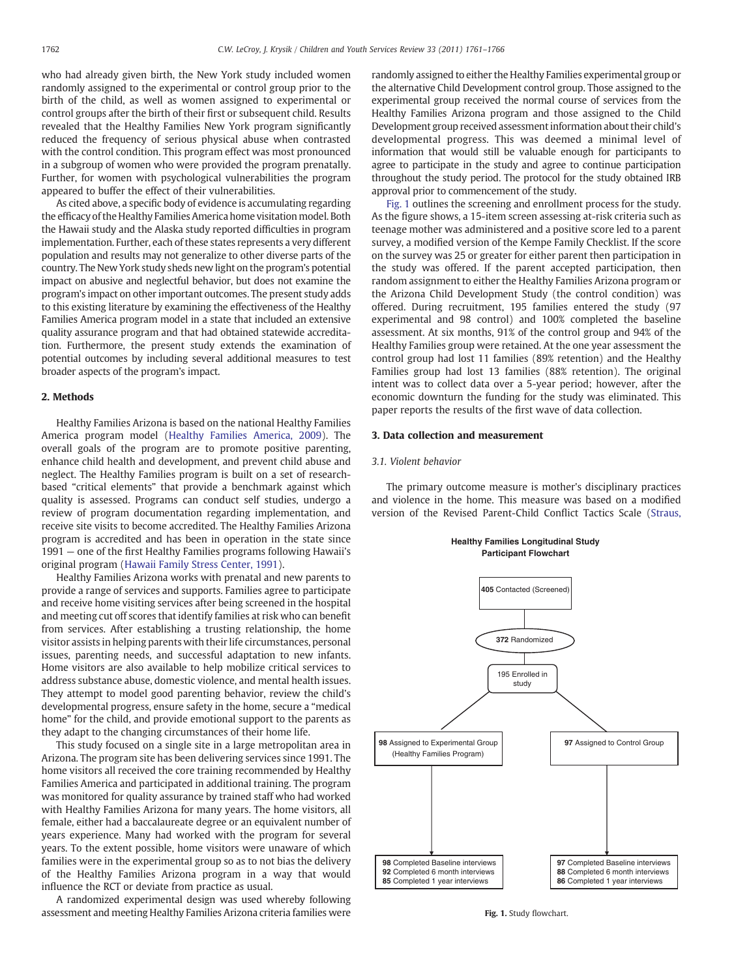who had already given birth, the New York study included women randomly assigned to the experimental or control group prior to the birth of the child, as well as women assigned to experimental or control groups after the birth of their first or subsequent child. Results revealed that the Healthy Families New York program significantly reduced the frequency of serious physical abuse when contrasted with the control condition. This program effect was most pronounced in a subgroup of women who were provided the program prenatally. Further, for women with psychological vulnerabilities the program appeared to buffer the effect of their vulnerabilities.

As cited above, a specific body of evidence is accumulating regarding the efficacy of the Healthy Families America home visitation model. Both the Hawaii study and the Alaska study reported difficulties in program implementation. Further, each of these states represents a very different population and results may not generalize to other diverse parts of the country. The New York study sheds new light on the program's potential impact on abusive and neglectful behavior, but does not examine the program's impact on other important outcomes. The present study adds to this existing literature by examining the effectiveness of the Healthy Families America program model in a state that included an extensive quality assurance program and that had obtained statewide accreditation. Furthermore, the present study extends the examination of potential outcomes by including several additional measures to test broader aspects of the program's impact.

### 2. Methods

Healthy Families Arizona is based on the national Healthy Families America program model [\(Healthy Families America, 2009](#page-5-0)). The overall goals of the program are to promote positive parenting, enhance child health and development, and prevent child abuse and neglect. The Healthy Families program is built on a set of researchbased "critical elements" that provide a benchmark against which quality is assessed. Programs can conduct self studies, undergo a review of program documentation regarding implementation, and receive site visits to become accredited. The Healthy Families Arizona program is accredited and has been in operation in the state since 1991 — one of the first Healthy Families programs following Hawaii's original program [\(Hawaii Family Stress Center, 1991\)](#page-5-0).

Healthy Families Arizona works with prenatal and new parents to provide a range of services and supports. Families agree to participate and receive home visiting services after being screened in the hospital and meeting cut off scores that identify families at risk who can benefit from services. After establishing a trusting relationship, the home visitor assists in helping parents with their life circumstances, personal issues, parenting needs, and successful adaptation to new infants. Home visitors are also available to help mobilize critical services to address substance abuse, domestic violence, and mental health issues. They attempt to model good parenting behavior, review the child's developmental progress, ensure safety in the home, secure a "medical home" for the child, and provide emotional support to the parents as they adapt to the changing circumstances of their home life.

This study focused on a single site in a large metropolitan area in Arizona. The program site has been delivering services since 1991. The home visitors all received the core training recommended by Healthy Families America and participated in additional training. The program was monitored for quality assurance by trained staff who had worked with Healthy Families Arizona for many years. The home visitors, all female, either had a baccalaureate degree or an equivalent number of years experience. Many had worked with the program for several years. To the extent possible, home visitors were unaware of which families were in the experimental group so as to not bias the delivery of the Healthy Families Arizona program in a way that would influence the RCT or deviate from practice as usual.

A randomized experimental design was used whereby following assessment and meeting Healthy Families Arizona criteria families were randomly assigned to either the Healthy Families experimental group or the alternative Child Development control group. Those assigned to the experimental group received the normal course of services from the Healthy Families Arizona program and those assigned to the Child Development group received assessment information about their child's developmental progress. This was deemed a minimal level of information that would still be valuable enough for participants to agree to participate in the study and agree to continue participation throughout the study period. The protocol for the study obtained IRB approval prior to commencement of the study.

Fig. 1 outlines the screening and enrollment process for the study. As the figure shows, a 15-item screen assessing at-risk criteria such as teenage mother was administered and a positive score led to a parent survey, a modified version of the Kempe Family Checklist. If the score on the survey was 25 or greater for either parent then participation in the study was offered. If the parent accepted participation, then random assignment to either the Healthy Families Arizona program or the Arizona Child Development Study (the control condition) was offered. During recruitment, 195 families entered the study (97 experimental and 98 control) and 100% completed the baseline assessment. At six months, 91% of the control group and 94% of the Healthy Families group were retained. At the one year assessment the control group had lost 11 families (89% retention) and the Healthy Families group had lost 13 families (88% retention). The original intent was to collect data over a 5-year period; however, after the economic downturn the funding for the study was eliminated. This paper reports the results of the first wave of data collection.

#### 3. Data collection and measurement

#### 3.1. Violent behavior

The primary outcome measure is mother's disciplinary practices and violence in the home. This measure was based on a modified version of the Revised Parent-Child Conflict Tactics Scale [\(Straus,](#page-5-0)



Fig. 1. Study flowchart.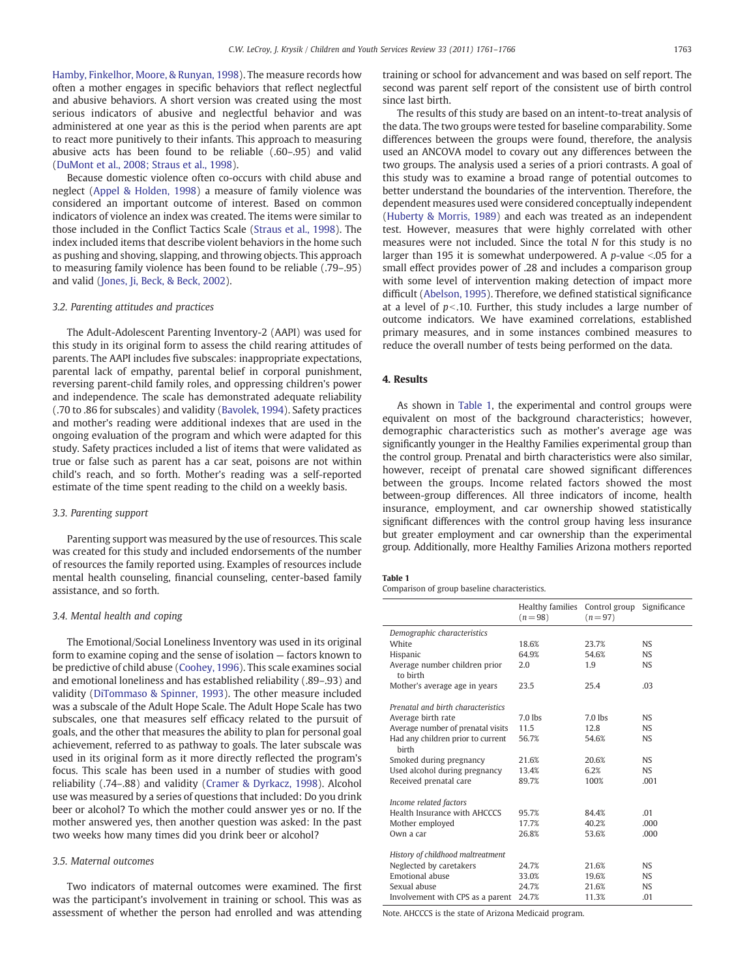[Hamby, Finkelhor, Moore, & Runyan, 1998\)](#page-5-0). The measure records how often a mother engages in specific behaviors that reflect neglectful and abusive behaviors. A short version was created using the most serious indicators of abusive and neglectful behavior and was administered at one year as this is the period when parents are apt to react more punitively to their infants. This approach to measuring abusive acts has been found to be reliable (.60–.95) and valid [\(DuMont et al., 2008; Straus et al., 1998\)](#page-5-0).

Because domestic violence often co-occurs with child abuse and neglect ([Appel & Holden, 1998](#page-5-0)) a measure of family violence was considered an important outcome of interest. Based on common indicators of violence an index was created. The items were similar to those included in the Conflict Tactics Scale [\(Straus et al., 1998](#page-5-0)). The index included items that describe violent behaviors in the home such as pushing and shoving, slapping, and throwing objects. This approach to measuring family violence has been found to be reliable (.79–.95) and valid [\(Jones, Ji, Beck, & Beck, 2002](#page-5-0)).

#### 3.2. Parenting attitudes and practices

The Adult-Adolescent Parenting Inventory-2 (AAPI) was used for this study in its original form to assess the child rearing attitudes of parents. The AAPI includes five subscales: inappropriate expectations, parental lack of empathy, parental belief in corporal punishment, reversing parent-child family roles, and oppressing children's power and independence. The scale has demonstrated adequate reliability (.70 to .86 for subscales) and validity [\(Bavolek, 1994](#page-5-0)). Safety practices and mother's reading were additional indexes that are used in the ongoing evaluation of the program and which were adapted for this study. Safety practices included a list of items that were validated as true or false such as parent has a car seat, poisons are not within child's reach, and so forth. Mother's reading was a self-reported estimate of the time spent reading to the child on a weekly basis.

#### 3.3. Parenting support

Parenting support was measured by the use of resources. This scale was created for this study and included endorsements of the number of resources the family reported using. Examples of resources include mental health counseling, financial counseling, center-based family assistance, and so forth.

#### 3.4. Mental health and coping

The Emotional/Social Loneliness Inventory was used in its original form to examine coping and the sense of isolation — factors known to be predictive of child abuse [\(Coohey, 1996](#page-5-0)). This scale examines social and emotional loneliness and has established reliability (.89–.93) and validity [\(DiTommaso & Spinner, 1993\)](#page-5-0). The other measure included was a subscale of the Adult Hope Scale. The Adult Hope Scale has two subscales, one that measures self efficacy related to the pursuit of goals, and the other that measures the ability to plan for personal goal achievement, referred to as pathway to goals. The later subscale was used in its original form as it more directly reflected the program's focus. This scale has been used in a number of studies with good reliability (.74–.88) and validity [\(Cramer & Dyrkacz, 1998\)](#page-5-0). Alcohol use was measured by a series of questions that included: Do you drink beer or alcohol? To which the mother could answer yes or no. If the mother answered yes, then another question was asked: In the past two weeks how many times did you drink beer or alcohol?

# 3.5. Maternal outcomes

Two indicators of maternal outcomes were examined. The first was the participant's involvement in training or school. This was as assessment of whether the person had enrolled and was attending

training or school for advancement and was based on self report. The second was parent self report of the consistent use of birth control since last birth.

The results of this study are based on an intent-to-treat analysis of the data. The two groups were tested for baseline comparability. Some differences between the groups were found, therefore, the analysis used an ANCOVA model to covary out any differences between the two groups. The analysis used a series of a priori contrasts. A goal of this study was to examine a broad range of potential outcomes to better understand the boundaries of the intervention. Therefore, the dependent measures used were considered conceptually independent [\(Huberty & Morris, 1989\)](#page-5-0) and each was treated as an independent test. However, measures that were highly correlated with other measures were not included. Since the total N for this study is no larger than 195 it is somewhat underpowered. A p-value  $\leq$ 05 for a small effect provides power of .28 and includes a comparison group with some level of intervention making detection of impact more difficult [\(Abelson, 1995\)](#page-5-0). Therefore, we defined statistical significance at a level of  $p<10$ . Further, this study includes a large number of outcome indicators. We have examined correlations, established primary measures, and in some instances combined measures to reduce the overall number of tests being performed on the data.

## 4. Results

As shown in Table 1, the experimental and control groups were equivalent on most of the background characteristics; however, demographic characteristics such as mother's average age was significantly younger in the Healthy Families experimental group than the control group. Prenatal and birth characteristics were also similar, however, receipt of prenatal care showed significant differences between the groups. Income related factors showed the most between-group differences. All three indicators of income, health insurance, employment, and car ownership showed statistically significant differences with the control group having less insurance but greater employment and car ownership than the experimental group. Additionally, more Healthy Families Arizona mothers reported

|--|--|

Comparison of group baseline characteristics.

|                                                   | Healthy families<br>$(n = 98)$ | Control group Significance<br>$(n = 97)$ |           |
|---------------------------------------------------|--------------------------------|------------------------------------------|-----------|
| Demographic characteristics                       |                                |                                          |           |
| White                                             | 18.6%                          | 23.7%                                    | NS.       |
| Hispanic                                          | 64.9%                          | 54.6%                                    | <b>NS</b> |
| Average number children prior<br>to birth         | 2.0                            | 1.9                                      | NS.       |
| Mother's average age in years                     | 23.5                           | 25.4                                     | .03       |
| Prenatal and birth characteristics                |                                |                                          |           |
| Average birth rate                                | $7.0$ lbs                      | $7.0$ lbs                                | <b>NS</b> |
| Average number of prenatal visits                 | 11.5                           | 12.8                                     | <b>NS</b> |
| Had any children prior to current<br><b>birth</b> | 56.7%                          | 54.6%                                    | <b>NS</b> |
| Smoked during pregnancy                           | 21.6%                          | 20.6%                                    | <b>NS</b> |
| Used alcohol during pregnancy                     | 13.4%                          | 6.2%                                     | NS.       |
| Received prenatal care                            | 89.7%                          | 100%                                     | .001      |
| Income related factors                            |                                |                                          |           |
| Health Insurance with AHCCCS                      | 95.7%                          | 84.4%                                    | .01       |
| Mother employed                                   | 17.7%                          | 40.2%                                    | .000      |
| Own a car                                         | 26.8%                          | 53.6%                                    | .000      |
| History of childhood maltreatment                 |                                |                                          |           |
| Neglected by caretakers                           | 24.7%                          | 21.6%                                    | <b>NS</b> |
| Emotional abuse                                   | 33.0%                          | 19.6%                                    | <b>NS</b> |
| Sexual abuse                                      | 24.7%                          | 21.6%                                    | NS.       |
| Involvement with CPS as a parent                  | 24.7%                          | 11.3%                                    | .01       |

Note. AHCCCS is the state of Arizona Medicaid program.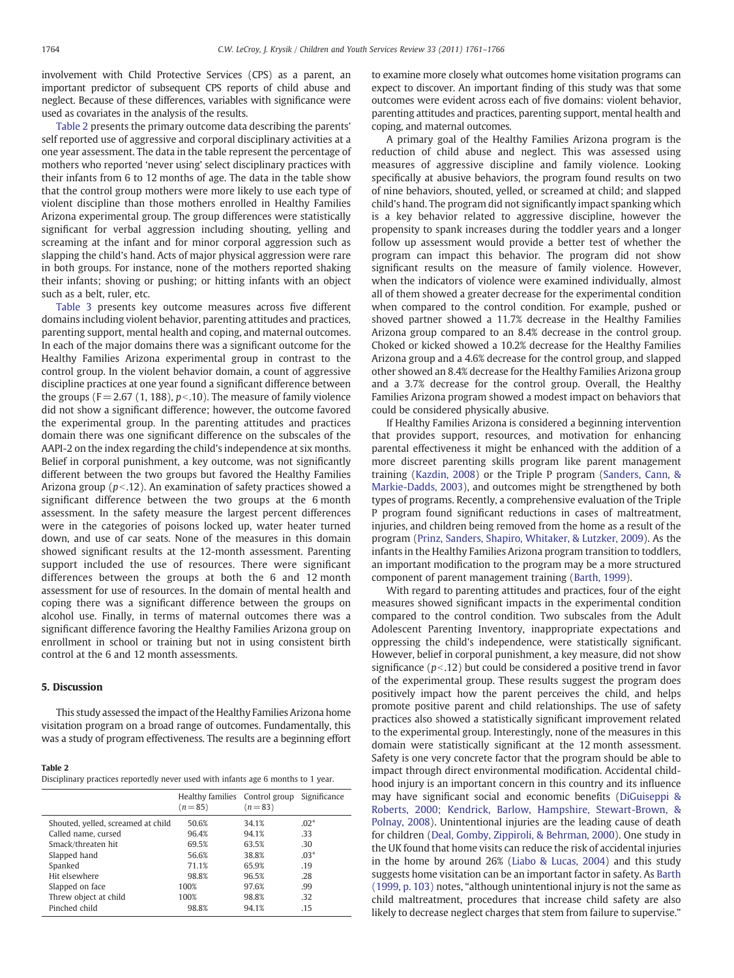involvement with Child Protective Services (CPS) as a parent, an important predictor of subsequent CPS reports of child abuse and neglect. Because of these differences, variables with significance were used as covariates in the analysis of the results.

Table 2 presents the primary outcome data describing the parents' self reported use of aggressive and corporal disciplinary activities at a one year assessment. The data in the table represent the percentage of mothers who reported 'never using' select disciplinary practices with their infants from 6 to 12 months of age. The data in the table show that the control group mothers were more likely to use each type of violent discipline than those mothers enrolled in Healthy Families Arizona experimental group. The group differences were statistically significant for verbal aggression including shouting, yelling and screaming at the infant and for minor corporal aggression such as slapping the child's hand. Acts of major physical aggression were rare in both groups. For instance, none of the mothers reported shaking their infants; shoving or pushing; or hitting infants with an object such as a belt, ruler, etc.

[Table 3](#page-4-0) presents key outcome measures across five different domains including violent behavior, parenting attitudes and practices, parenting support, mental health and coping, and maternal outcomes. In each of the major domains there was a significant outcome for the Healthy Families Arizona experimental group in contrast to the control group. In the violent behavior domain, a count of aggressive discipline practices at one year found a significant difference between the groups ( $F = 2.67$  (1, 188),  $p < 10$ ). The measure of family violence did not show a significant difference; however, the outcome favored the experimental group. In the parenting attitudes and practices domain there was one significant difference on the subscales of the AAPI-2 on the index regarding the child's independence at six months. Belief in corporal punishment, a key outcome, was not significantly different between the two groups but favored the Healthy Families Arizona group ( $p<12$ ). An examination of safety practices showed a significant difference between the two groups at the 6 month assessment. In the safety measure the largest percent differences were in the categories of poisons locked up, water heater turned down, and use of car seats. None of the measures in this domain showed significant results at the 12-month assessment. Parenting support included the use of resources. There were significant differences between the groups at both the 6 and 12 month assessment for use of resources. In the domain of mental health and coping there was a significant difference between the groups on alcohol use. Finally, in terms of maternal outcomes there was a significant difference favoring the Healthy Families Arizona group on enrollment in school or training but not in using consistent birth control at the 6 and 12 month assessments.

#### 5. Discussion

This study assessed the impact of the Healthy Families Arizona home visitation program on a broad range of outcomes. Fundamentally, this was a study of program effectiveness. The results are a beginning effort

| Table 2                                                                           |
|-----------------------------------------------------------------------------------|
| Disciplinary practices reportedly never used with infants age 6 months to 1 year. |

|                                    | Healthy families Control group Significance<br>$(n=85)$ | $(n=83)$ |        |
|------------------------------------|---------------------------------------------------------|----------|--------|
| Shouted, yelled, screamed at child | 50.6%                                                   | 34.1%    | $.02*$ |
| Called name, cursed                | 96.4%                                                   | 94.1%    | .33    |
| Smack/threaten hit                 | 69.5%                                                   | 63.5%    | .30    |
| Slapped hand                       | 56.6%                                                   | 38.8%    | $.03*$ |
| Spanked                            | 71.1%                                                   | 65.9%    | .19    |
| Hit elsewhere                      | 98.8%                                                   | 96.5%    | .28    |
| Slapped on face                    | 100%                                                    | 97.6%    | .99    |
| Threw object at child              | 100%                                                    | 98.8%    | .32    |
| Pinched child                      | 98.8%                                                   | 94.1%    | .15    |

to examine more closely what outcomes home visitation programs can expect to discover. An important finding of this study was that some outcomes were evident across each of five domains: violent behavior, parenting attitudes and practices, parenting support, mental health and coping, and maternal outcomes.

A primary goal of the Healthy Families Arizona program is the reduction of child abuse and neglect. This was assessed using measures of aggressive discipline and family violence. Looking specifically at abusive behaviors, the program found results on two of nine behaviors, shouted, yelled, or screamed at child; and slapped child's hand. The program did not significantly impact spanking which is a key behavior related to aggressive discipline, however the propensity to spank increases during the toddler years and a longer follow up assessment would provide a better test of whether the program can impact this behavior. The program did not show significant results on the measure of family violence. However, when the indicators of violence were examined individually, almost all of them showed a greater decrease for the experimental condition when compared to the control condition. For example, pushed or shoved partner showed a 11.7% decrease in the Healthy Families Arizona group compared to an 8.4% decrease in the control group. Choked or kicked showed a 10.2% decrease for the Healthy Families Arizona group and a 4.6% decrease for the control group, and slapped other showed an 8.4% decrease for the Healthy Families Arizona group and a 3.7% decrease for the control group. Overall, the Healthy Families Arizona program showed a modest impact on behaviors that could be considered physically abusive.

If Healthy Families Arizona is considered a beginning intervention that provides support, resources, and motivation for enhancing parental effectiveness it might be enhanced with the addition of a more discreet parenting skills program like parent management training [\(Kazdin, 2008\)](#page-5-0) or the Triple P program ([Sanders, Cann, &](#page-5-0) [Markie-Dadds, 2003\)](#page-5-0), and outcomes might be strengthened by both types of programs. Recently, a comprehensive evaluation of the Triple P program found significant reductions in cases of maltreatment, injuries, and children being removed from the home as a result of the program ([Prinz, Sanders, Shapiro, Whitaker, & Lutzker, 2009](#page-5-0)). As the infants in the Healthy Families Arizona program transition to toddlers, an important modification to the program may be a more structured component of parent management training ([Barth, 1999](#page-5-0)).

With regard to parenting attitudes and practices, four of the eight measures showed significant impacts in the experimental condition compared to the control condition. Two subscales from the Adult Adolescent Parenting Inventory, inappropriate expectations and oppressing the child's independence, were statistically significant. However, belief in corporal punishment, a key measure, did not show significance ( $p<12$ ) but could be considered a positive trend in favor of the experimental group. These results suggest the program does positively impact how the parent perceives the child, and helps promote positive parent and child relationships. The use of safety practices also showed a statistically significant improvement related to the experimental group. Interestingly, none of the measures in this domain were statistically significant at the 12 month assessment. Safety is one very concrete factor that the program should be able to impact through direct environmental modification. Accidental childhood injury is an important concern in this country and its influence may have significant social and economic benefits [\(DiGuiseppi &](#page-5-0) [Roberts, 2000; Kendrick, Barlow, Hampshire, Stewart-Brown, &](#page-5-0) [Polnay, 2008](#page-5-0)). Unintentional injuries are the leading cause of death for children [\(Deal, Gomby, Zippiroli, & Behrman, 2000\)](#page-5-0). One study in the UK found that home visits can reduce the risk of accidental injuries in the home by around 26% ([Liabo & Lucas, 2004](#page-5-0)) and this study suggests home visitation can be an important factor in safety. As [Barth](#page-5-0) [\(1999, p. 103\)](#page-5-0) notes, "although unintentional injury is not the same as child maltreatment, procedures that increase child safety are also likely to decrease neglect charges that stem from failure to supervise."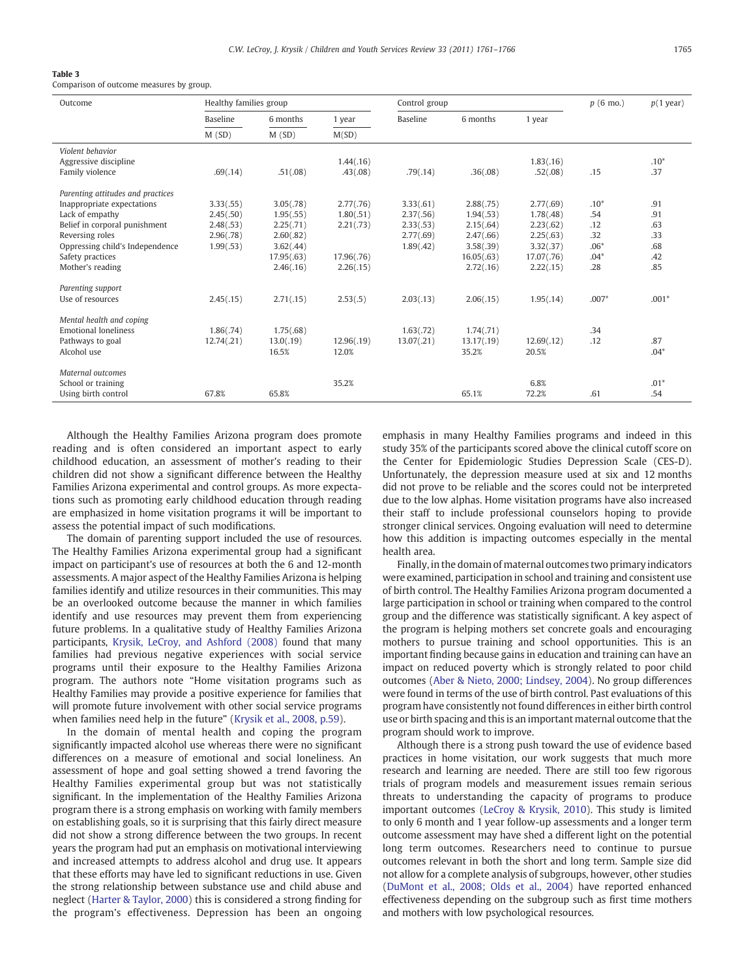#### <span id="page-4-0"></span>Table 3

Comparison of outcome measures by group.

| Outcome                           | Healthy families group |            | Control group |            |            | $p(6 \text{ mo.})$ | $p(1$ year) |         |
|-----------------------------------|------------------------|------------|---------------|------------|------------|--------------------|-------------|---------|
|                                   | Baseline               | 6 months   | 1 year        | Baseline   | 6 months   | 1 year             |             |         |
|                                   | M(SD)                  | M(SD)      | M(SD)         |            |            |                    |             |         |
| Violent behavior                  |                        |            |               |            |            |                    |             |         |
| Aggressive discipline             |                        |            | 1.44(.16)     |            |            | 1.83(.16)          |             | $.10*$  |
| Family violence                   | .69(.14)               | .51(.08)   | .43(.08)      | .79(.14)   | .36(.08)   | .52(.08)           | .15         | .37     |
| Parenting attitudes and practices |                        |            |               |            |            |                    |             |         |
| Inappropriate expectations        | 3.33(.55)              | 3.05(.78)  | 2.77(.76)     | 3.33(.61)  | 2.88(.75)  | 2.77(.69)          | $.10*$      | .91     |
| Lack of empathy                   | 2.45(.50)              | 1.95(.55)  | 1.80(.51)     | 2.37(.56)  | 1.94(.53)  | 1.78(.48)          | .54         | .91     |
| Belief in corporal punishment     | 2.48(.53)              | 2.25(.71)  | 2.21(.73)     | 2.33(.53)  | 2.15(.64)  | 2.23(.62)          | .12         | .63     |
| Reversing roles                   | 2.96(.78)              | 2.60(.82)  |               | 2.77(.69)  | 2.47(.66)  | 2.25(.63)          | .32         | .33     |
| Oppressing child's Independence   | 1.99(.53)              | 3.62(.44)  |               | 1.89(.42)  | 3.58(.39)  | 3.32(.37)          | $.06*$      | .68     |
| Safety practices                  |                        | 17.95(.63) | 17.96(.76)    |            | 16.05(.63) | 17.07(.76)         | $.04*$      | .42     |
| Mother's reading                  |                        | 2.46(.16)  | 2.26(.15)     |            | 2.72(.16)  | 2.22(.15)          | .28         | .85     |
| Parenting support                 |                        |            |               |            |            |                    |             |         |
| Use of resources                  | 2.45(.15)              | 2.71(.15)  | 2.53(.5)      | 2.03(.13)  | 2.06(.15)  | 1.95(.14)          | $.007*$     | $.001*$ |
| Mental health and coping          |                        |            |               |            |            |                    |             |         |
| <b>Emotional loneliness</b>       | 1.86(.74)              | 1.75(.68)  |               | 1.63(.72)  | 1.74(.71)  |                    | .34         |         |
| Pathways to goal                  | 12.74(.21)             | 13.0(.19)  | 12.96(.19)    | 13.07(.21) | 13.17(.19) | 12.69(.12)         | .12         | .87     |
| Alcohol use                       |                        | 16.5%      | 12.0%         |            | 35.2%      | 20.5%              |             | $.04*$  |
| Maternal outcomes                 |                        |            |               |            |            |                    |             |         |
| School or training                |                        |            | 35.2%         |            |            | 6.8%               |             | $.01*$  |
| Using birth control               | 67.8%                  | 65.8%      |               |            | 65.1%      | 72.2%              | .61         | .54     |

Although the Healthy Families Arizona program does promote reading and is often considered an important aspect to early childhood education, an assessment of mother's reading to their children did not show a significant difference between the Healthy Families Arizona experimental and control groups. As more expectations such as promoting early childhood education through reading are emphasized in home visitation programs it will be important to assess the potential impact of such modifications.

The domain of parenting support included the use of resources. The Healthy Families Arizona experimental group had a significant impact on participant's use of resources at both the 6 and 12-month assessments. A major aspect of the Healthy Families Arizona is helping families identify and utilize resources in their communities. This may be an overlooked outcome because the manner in which families identify and use resources may prevent them from experiencing future problems. In a qualitative study of Healthy Families Arizona participants, [Krysik, LeCroy, and Ashford \(2008\)](#page-5-0) found that many families had previous negative experiences with social service programs until their exposure to the Healthy Families Arizona program. The authors note "Home visitation programs such as Healthy Families may provide a positive experience for families that will promote future involvement with other social service programs when families need help in the future" [\(Krysik et al., 2008, p.59](#page-5-0)).

In the domain of mental health and coping the program significantly impacted alcohol use whereas there were no significant differences on a measure of emotional and social loneliness. An assessment of hope and goal setting showed a trend favoring the Healthy Families experimental group but was not statistically significant. In the implementation of the Healthy Families Arizona program there is a strong emphasis on working with family members on establishing goals, so it is surprising that this fairly direct measure did not show a strong difference between the two groups. In recent years the program had put an emphasis on motivational interviewing and increased attempts to address alcohol and drug use. It appears that these efforts may have led to significant reductions in use. Given the strong relationship between substance use and child abuse and neglect ([Harter & Taylor, 2000\)](#page-5-0) this is considered a strong finding for the program's effectiveness. Depression has been an ongoing emphasis in many Healthy Families programs and indeed in this study 35% of the participants scored above the clinical cutoff score on the Center for Epidemiologic Studies Depression Scale (CES-D). Unfortunately, the depression measure used at six and 12 months did not prove to be reliable and the scores could not be interpreted due to the low alphas. Home visitation programs have also increased their staff to include professional counselors hoping to provide stronger clinical services. Ongoing evaluation will need to determine how this addition is impacting outcomes especially in the mental health area.

Finally, in the domain of maternal outcomes two primary indicators were examined, participation in school and training and consistent use of birth control. The Healthy Families Arizona program documented a large participation in school or training when compared to the control group and the difference was statistically significant. A key aspect of the program is helping mothers set concrete goals and encouraging mothers to pursue training and school opportunities. This is an important finding because gains in education and training can have an impact on reduced poverty which is strongly related to poor child outcomes ([Aber & Nieto, 2000; Lindsey, 2004](#page-5-0)). No group differences were found in terms of the use of birth control. Past evaluations of this program have consistently not found differences in either birth control use or birth spacing and this is an important maternal outcome that the program should work to improve.

Although there is a strong push toward the use of evidence based practices in home visitation, our work suggests that much more research and learning are needed. There are still too few rigorous trials of program models and measurement issues remain serious threats to understanding the capacity of programs to produce important outcomes ([LeCroy & Krysik, 2010\)](#page-5-0). This study is limited to only 6 month and 1 year follow-up assessments and a longer term outcome assessment may have shed a different light on the potential long term outcomes. Researchers need to continue to pursue outcomes relevant in both the short and long term. Sample size did not allow for a complete analysis of subgroups, however, other studies [\(DuMont et al., 2008; Olds et al., 2004\)](#page-5-0) have reported enhanced effectiveness depending on the subgroup such as first time mothers and mothers with low psychological resources.